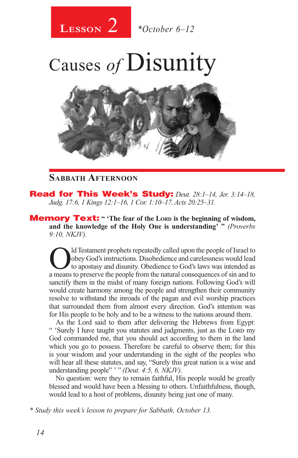

Causes *of* Disunity



## **Sabbath Afternoon**

Read for This Week's Study: *Deut. 28:1–14, Jer. 3:14–18, Judg. 17:6, 1 Kings 12:1–16, 1 Cor. 1:10–17, Acts 20:25–31.*

**Memory Text:** " The fear of the LORD is the beginning of wisdom, **and the knowledge of the Holy One is understanding' "** *(Proverbs 9:10, NKJV).* 

Old Testament prophets repeatedly called upon the people of Israel to obey God's instructions. Disobedience and carelessness would lead to apostasy and disunity. Obedience to God's laws was intended as obey God's instructions. Disobedience and carelessness would lead a means to preserve the people from the natural consequences of sin and to sanctify them in the midst of many foreign nations. Following God's will would create harmony among the people and strengthen their community resolve to withstand the inroads of the pagan and evil worship practices that surrounded them from almost every direction. God's intention was for His people to be holy and to be a witness to the nations around them.

As the Lord said to them after delivering the Hebrews from Egypt: " 'Surely I have taught you statutes and judgments, just as the LORD my God commanded me, that you should act according to them in the land which you go to possess. Therefore be careful to observe them; for this is your wisdom and your understanding in the sight of the peoples who will hear all these statutes, and say, "Surely this great nation is a wise and understanding people" ' " *(Deut. 4:5, 6, NKJV).*

No question: were they to remain faithful, His people would be greatly blessed and would have been a blessing to others. Unfaithfulness, though, would lead to a host of problems, disunity being just one of many.

*\* Study this week's lesson to prepare for Sabbath, October 13.*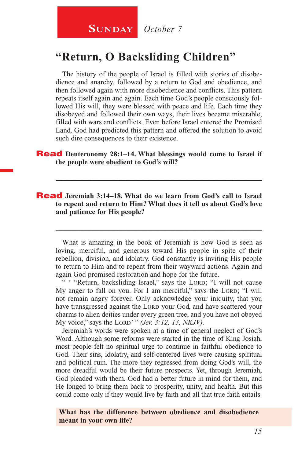## **"Return, O Backsliding Children"**

The history of the people of Israel is filled with stories of disobedience and anarchy, followed by a return to God and obedience, and then followed again with more disobedience and conflicts. This pattern repeats itself again and again. Each time God's people consciously followed His will, they were blessed with peace and life. Each time they disobeyed and followed their own ways, their lives became miserable, filled with wars and conflicts. Even before Israel entered the Promised Land, God had predicted this pattern and offered the solution to avoid such dire consequences to their existence.

#### Read **Deuteronomy 28:1–14. What blessings would come to Israel if the people were obedient to God's will?**

\_\_\_\_\_\_\_\_\_\_\_\_\_\_\_\_\_\_\_\_\_\_\_\_\_\_\_\_\_\_\_\_\_\_\_\_\_\_\_\_\_\_\_\_\_\_\_\_\_\_\_\_\_\_\_\_

#### Read **Jeremiah 3:14–18. What do we learn from God's call to Israel to repent and return to Him? What does it tell us about God's love and patience for His people?**

What is amazing in the book of Jeremiah is how God is seen as loving, merciful, and generous toward His people in spite of their rebellion, division, and idolatry. God constantly is inviting His people to return to Him and to repent from their wayward actions. Again and again God promised restoration and hope for the future.

\_\_\_\_\_\_\_\_\_\_\_\_\_\_\_\_\_\_\_\_\_\_\_\_\_\_\_\_\_\_\_\_\_\_\_\_\_\_\_\_\_\_\_\_\_\_\_\_\_\_\_\_\_\_\_\_

" "Return, backsliding Israel," says the LORD; "I will not cause My anger to fall on you. For I am merciful," says the Lord; "I will not remain angry forever. Only acknowledge your iniquity, that you have transgressed against the LORD your God, and have scattered your charms to alien deities under every green tree, and you have not obeyed My voice," says the Lord' " *(Jer. 3:12, 13, NKJV).*

Jeremiah's words were spoken at a time of general neglect of God's Word. Although some reforms were started in the time of King Josiah, most people felt no spiritual urge to continue in faithful obedience to God. Their sins, idolatry, and self-centered lives were causing spiritual and political ruin. The more they regressed from doing God's will, the more dreadful would be their future prospects. Yet, through Jeremiah, God pleaded with them. God had a better future in mind for them, and He longed to bring them back to prosperity, unity, and health. But this could come only if they would live by faith and all that true faith entails.

**What has the difference between obedience and disobedience meant in your own life?**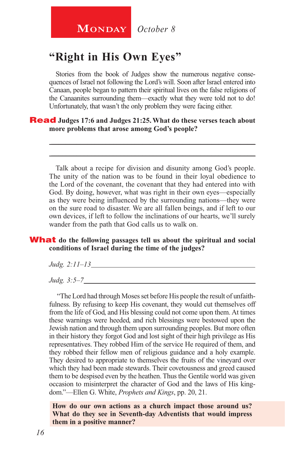# **MONDAY** October 8

# **"Right in His Own Eyes"**

Stories from the book of Judges show the numerous negative consequences of Israel not following the Lord's will. Soon after Israel entered into Canaan, people began to pattern their spiritual lives on the false religions of the Canaanites surrounding them—exactly what they were told not to do! Unfortunately, that wasn't the only problem they were facing either.

\_\_\_\_\_\_\_\_\_\_\_\_\_\_\_\_\_\_\_\_\_\_\_\_\_\_\_\_\_\_\_\_\_\_\_\_\_\_\_\_\_\_\_\_\_\_\_\_\_\_\_\_\_\_\_\_ \_\_\_\_\_\_\_\_\_\_\_\_\_\_\_\_\_\_\_\_\_\_\_\_\_\_\_\_\_\_\_\_\_\_\_\_\_\_\_\_\_\_\_\_\_\_\_\_\_\_\_\_\_\_\_\_

#### Read **Judges 17:6 and Judges 21:25. What do these verses teach about more problems that arose among God's people?**

Talk about a recipe for division and disunity among God's people. The unity of the nation was to be found in their loyal obedience to the Lord of the covenant, the covenant that they had entered into with God. By doing, however, what was right in their own eyes—especially as they were being influenced by the surrounding nations—they were on the sure road to disaster. We are all fallen beings, and if left to our own devices, if left to follow the inclinations of our hearts, we'll surely wander from the path that God calls us to walk on.

#### What **do the following passages tell us about the spiritual and social conditions of Israel during the time of the judges?**

*Judg. 2:11–13*

*Judg. 3:5–7*

 "The Lord had through Moses set before His people the result of unfaithfulness. By refusing to keep His covenant, they would cut themselves off from the life of God, and His blessing could not come upon them. At times these warnings were heeded, and rich blessings were bestowed upon the Jewish nation and through them upon surrounding peoples. But more often in their history they forgot God and lost sight of their high privilege as His representatives. They robbed Him of the service He required of them, and they robbed their fellow men of religious guidance and a holy example. They desired to appropriate to themselves the fruits of the vineyard over which they had been made stewards. Their covetousness and greed caused them to be despised even by the heathen. Thus the Gentile world was given occasion to misinterpret the character of God and the laws of His kingdom."—Ellen G. White, *Prophets and Kings*, pp. 20, 21.

**How do our own actions as a church impact those around us? What do they see in Seventh-day Adventists that would impress them in a positive manner?**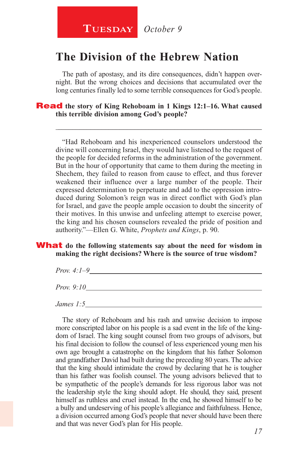## **The Division of the Hebrew Nation**

The path of apostasy, and its dire consequences, didn't happen overnight. But the wrong choices and decisions that accumulated over the long centuries finally led to some terrible consequences for God's people.

\_\_\_\_\_\_\_\_\_\_\_\_\_\_\_\_\_\_\_\_\_\_\_\_\_\_\_\_\_\_\_\_\_\_\_\_\_\_\_\_\_\_\_\_\_\_\_\_\_\_\_\_\_\_\_\_

#### Read **the story of King Rehoboam in 1 Kings 12:1–16. What caused this terrible division among God's people?**

"Had Rehoboam and his inexperienced counselors understood the divine will concerning Israel, they would have listened to the request of the people for decided reforms in the administration of the government. But in the hour of opportunity that came to them during the meeting in Shechem, they failed to reason from cause to effect, and thus forever weakened their influence over a large number of the people. Their expressed determination to perpetuate and add to the oppression introduced during Solomon's reign was in direct conflict with God's plan for Israel, and gave the people ample occasion to doubt the sincerity of their motives. In this unwise and unfeeling attempt to exercise power, the king and his chosen counselors revealed the pride of position and authority."—Ellen G. White, *Prophets and Kings*, p. 90.

#### **What** do the following statements say about the need for wisdom in **making the right decisions? Where is the source of true wisdom?**

*Prov. 4:1–9*

*Prov. 9:10*

*James 1:5*

The story of Rehoboam and his rash and unwise decision to impose more conscripted labor on his people is a sad event in the life of the kingdom of Israel. The king sought counsel from two groups of advisors, but his final decision to follow the counsel of less experienced young men his own age brought a catastrophe on the kingdom that his father Solomon and grandfather David had built during the preceding 80 years. The advice that the king should intimidate the crowd by declaring that he is tougher than his father was foolish counsel. The young advisors believed that to be sympathetic of the people's demands for less rigorous labor was not the leadership style the king should adopt. He should, they said, present himself as ruthless and cruel instead. In the end, he showed himself to be a bully and undeserving of his people's allegiance and faithfulness. Hence, a division occurred among God's people that never should have been there and that was never God's plan for His people.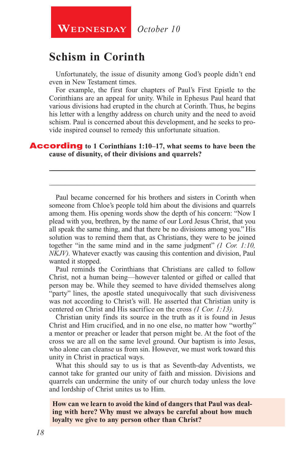**WEDNESDAY** October 10

# **Schism in Corinth**

Unfortunately, the issue of disunity among God's people didn't end even in New Testament times.

For example, the first four chapters of Paul's First Epistle to the Corinthians are an appeal for unity. While in Ephesus Paul heard that various divisions had erupted in the church at Corinth. Thus, he begins his letter with a lengthy address on church unity and the need to avoid schism. Paul is concerned about this development, and he seeks to provide inspired counsel to remedy this unfortunate situation.

\_\_\_\_\_\_\_\_\_\_\_\_\_\_\_\_\_\_\_\_\_\_\_\_\_\_\_\_\_\_\_\_\_\_\_\_\_\_\_\_\_\_\_\_\_\_\_\_\_\_\_\_\_\_\_\_

\_\_\_\_\_\_\_\_\_\_\_\_\_\_\_\_\_\_\_\_\_\_\_\_\_\_\_\_\_\_\_\_\_\_\_\_\_\_\_\_\_\_\_\_\_\_\_\_\_\_\_\_\_\_\_\_

#### According **to 1 Corinthians 1:10–17, what seems to have been the cause of disunity, of their divisions and quarrels?**

Paul became concerned for his brothers and sisters in Corinth when someone from Chloe's people told him about the divisions and quarrels among them. His opening words show the depth of his concern: "Now I plead with you, brethren, by the name of our Lord Jesus Christ, that you all speak the same thing, and that there be no divisions among you." His solution was to remind them that, as Christians, they were to be joined together "in the same mind and in the same judgment" *(1 Cor. 1:10, NKJV).* Whatever exactly was causing this contention and division, Paul wanted it stopped.

Paul reminds the Corinthians that Christians are called to follow Christ, not a human being—however talented or gifted or called that person may be. While they seemed to have divided themselves along "party" lines, the apostle stated unequivocally that such divisiveness was not according to Christ's will. He asserted that Christian unity is centered on Christ and His sacrifice on the cross *(1 Cor. 1:13).* 

Christian unity finds its source in the truth as it is found in Jesus Christ and Him crucified, and in no one else, no matter how "worthy" a mentor or preacher or leader that person might be. At the foot of the cross we are all on the same level ground. Our baptism is into Jesus, who alone can cleanse us from sin. However, we must work toward this unity in Christ in practical ways.

What this should say to us is that as Seventh-day Adventists, we cannot take for granted our unity of faith and mission. Divisions and quarrels can undermine the unity of our church today unless the love and lordship of Christ unites us to Him.

**How can we learn to avoid the kind of dangers that Paul was dealing with here? Why must we always be careful about how much loyalty we give to any person other than Christ?**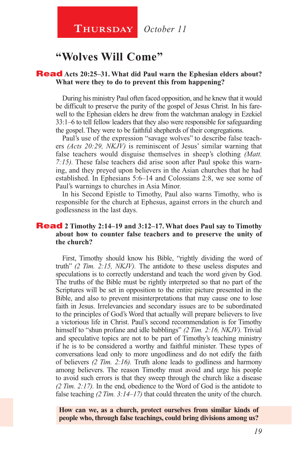**Thursday** *October 11*

## **"Wolves Will Come"**

#### Read **Acts 20:25–31. What did Paul warn the Ephesian elders about? What were they to do to prevent this from happening?**

During his ministry Paul often faced opposition, and he knew that it would be difficult to preserve the purity of the gospel of Jesus Christ. In his farewell to the Ephesian elders he drew from the watchman analogy in Ezekiel 33:1–6 to tell fellow leaders that they also were responsible for safeguarding the gospel. They were to be faithful shepherds of their congregations.

Paul's use of the expression "savage wolves" to describe false teachers *(Acts 20:29, NKJV)* is reminiscent of Jesus' similar warning that false teachers would disguise themselves in sheep's clothing *(Matt. 7:15).* These false teachers did arise soon after Paul spoke this warning, and they preyed upon believers in the Asian churches that he had established. In Ephesians 5:6–14 and Colossians 2:8, we see some of Paul's warnings to churches in Asia Minor.

In his Second Epistle to Timothy, Paul also warns Timothy, who is responsible for the church at Ephesus, against errors in the church and godlessness in the last days.

#### Read **2 Timothy 2:14–19 and 3:12–17. What does Paul say to Timothy about how to counter false teachers and to preserve the unity of the church?**

First, Timothy should know his Bible, "rightly dividing the word of truth" *(2 Tim. 2:15, NKJV).* The antidote to these useless disputes and speculations is to correctly understand and teach the word given by God. The truths of the Bible must be rightly interpreted so that no part of the Scriptures will be set in opposition to the entire picture presented in the Bible, and also to prevent misinterpretations that may cause one to lose faith in Jesus. Irrelevancies and secondary issues are to be subordinated to the principles of God's Word that actually will prepare believers to live a victorious life in Christ. Paul's second recommendation is for Timothy himself to "shun profane and idle babblings" *(2 Tim. 2:16, NKJV).* Trivial and speculative topics are not to be part of Timothy's teaching ministry if he is to be considered a worthy and faithful minister. These types of conversations lead only to more ungodliness and do not edify the faith of believers *(2 Tim. 2:16).* Truth alone leads to godliness and harmony among believers. The reason Timothy must avoid and urge his people to avoid such errors is that they sweep through the church like a disease *(2 Tim. 2:17).* In the end, obedience to the Word of God is the antidote to false teaching (2 Tim. 3:14–17) that could threaten the unity of the church.

**How can we, as a church, protect ourselves from similar kinds of people who, through false teachings, could bring divisions among us?**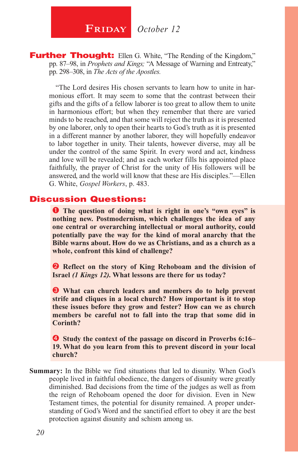**FRIDAY** October 12

**Further Thought:** Ellen G. White, "The Rending of the Kingdom," pp. 87–98, in *Prophets and Kings;* "A Message of Warning and Entreaty," pp. 298–308, in *The Acts of the Apostles.* 

"The Lord desires His chosen servants to learn how to unite in harmonious effort. It may seem to some that the contrast between their gifts and the gifts of a fellow laborer is too great to allow them to unite in harmonious effort; but when they remember that there are varied minds to be reached, and that some will reject the truth as it is presented by one laborer, only to open their hearts to God's truth as it is presented in a different manner by another laborer, they will hopefully endeavor to labor together in unity. Their talents, however diverse, may all be under the control of the same Spirit. In every word and act, kindness and love will be revealed; and as each worker fills his appointed place faithfully, the prayer of Christ for the unity of His followers will be answered, and the world will know that these are His disciples."—Ellen G. White, *Gospel Workers*, p. 483.

#### Discussion Questions:

**The question of doing what is right in one's "own eyes" is nothing new. Postmodernism, which challenges the idea of any one central or overarching intellectual or moral authority, could potentially pave the way for the kind of moral anarchy that the Bible warns about. How do we as Christians, and as a church as a whole, confront this kind of challenge?**

**2** Reflect on the story of King Rehoboam and the division of **Israel** *(1 Kings 12).* **What lessons are there for us today?**

 **What can church leaders and members do to help prevent strife and cliques in a local church? How important is it to stop these issues before they grow and fester? How can we as church members be careful not to fall into the trap that some did in Corinth?**

 **Study the context of the passage on discord in Proverbs 6:16– 19. What do you learn from this to prevent discord in your local church?**

**Summary:** In the Bible we find situations that led to disunity. When God's people lived in faithful obedience, the dangers of disunity were greatly diminished. Bad decisions from the time of the judges as well as from the reign of Rehoboam opened the door for division. Even in New Testament times, the potential for disunity remained. A proper understanding of God's Word and the sanctified effort to obey it are the best protection against disunity and schism among us.